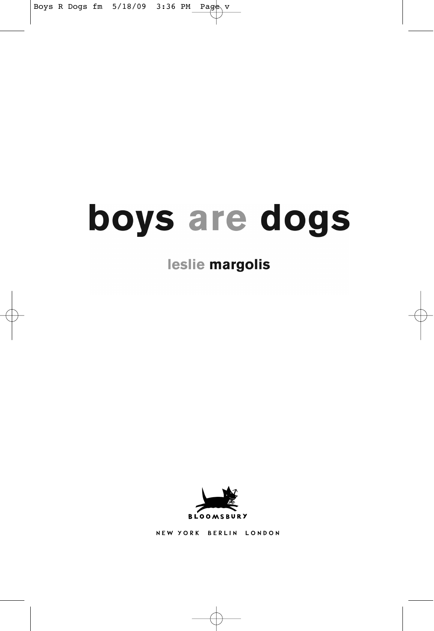## boys are dogs

## leslie margolis



NEW YORK BERLIN LONDON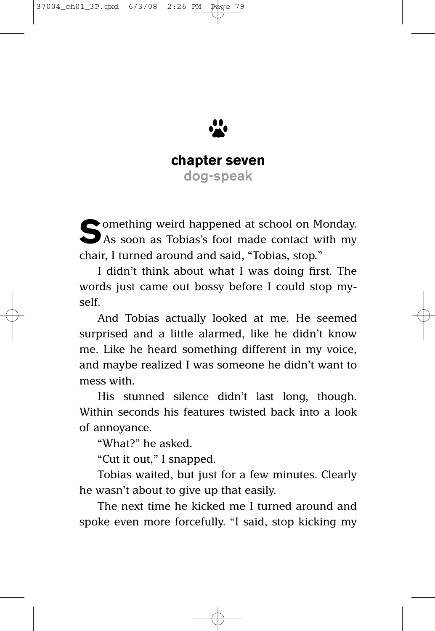

**dog-speak**

Something weird happened at school on Monday.<br>As soon as Tobias's foot made contact with my chair, I turned around and said, "Tobias, stop."

I didn't think about what I was doing first. The words just came out bossy before I could stop myself.

And Tobias actually looked at me. He seemed surprised and a little alarmed, like he didn't know me. Like he heard something different in my voice, and maybe realized I was someone he didn't want to mess with.

His stunned silence didn't last long, though. Within seconds his features twisted back into a look of annoyance.

"What?" he asked.

"Cut it out," I snapped.

Tobias waited, but just for a few minutes. Clearly he wasn't about to give up that easily.

The next time he kicked me I turned around and spoke even more forcefully. "I said, stop kicking my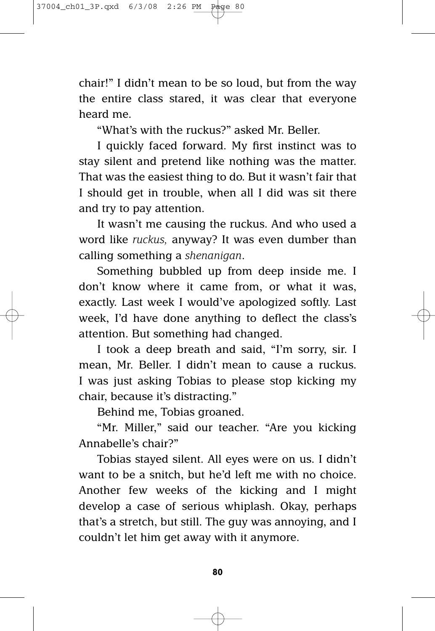chair!" I didn't mean to be so loud, but from the way the entire class stared, it was clear that everyone heard me.

"What's with the ruckus?" asked Mr. Beller.

I quickly faced forward. My first instinct was to stay silent and pretend like nothing was the matter. That was the easiest thing to do. But it wasn't fair that I should get in trouble, when all I did was sit there and try to pay attention.

It wasn't me causing the ruckus. And who used a word like *ruckus,* anyway? It was even dumber than calling something a *shenanigan*.

Something bubbled up from deep inside me. I don't know where it came from, or what it was, exactly. Last week I would've apologized softly. Last week, I'd have done anything to deflect the class's attention. But something had changed.

I took a deep breath and said, "I'm sorry, sir. I mean, Mr. Beller. I didn't mean to cause a ruckus. I was just asking Tobias to please stop kicking my chair, because it's distracting."

Behind me, Tobias groaned.

"Mr. Miller," said our teacher. "Are you kicking Annabelle's chair?"

Tobias stayed silent. All eyes were on us. I didn't want to be a snitch, but he'd left me with no choice. Another few weeks of the kicking and I might develop a case of serious whiplash. Okay, perhaps that's a stretch, but still. The guy was annoying, and I couldn't let him get away with it anymore.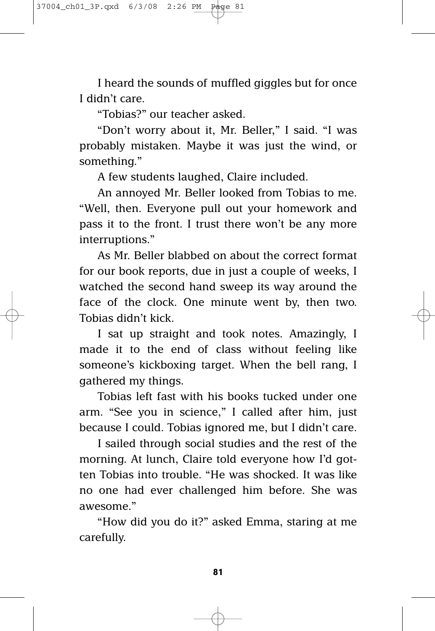I heard the sounds of muffled giggles but for once I didn't care.

"Tobias?" our teacher asked.

"Don't worry about it, Mr. Beller," I said. "I was probably mistaken. Maybe it was just the wind, or something."

A few students laughed, Claire included.

An annoyed Mr. Beller looked from Tobias to me. "Well, then. Everyone pull out your homework and pass it to the front. I trust there won't be any more interruptions."

As Mr. Beller blabbed on about the correct format for our book reports, due in just a couple of weeks, I watched the second hand sweep its way around the face of the clock. One minute went by, then two. Tobias didn't kick.

I sat up straight and took notes. Amazingly, I made it to the end of class without feeling like someone's kickboxing target. When the bell rang, I gathered my things.

Tobias left fast with his books tucked under one arm. "See you in science," I called after him, just because I could. Tobias ignored me, but I didn't care.

I sailed through social studies and the rest of the morning. At lunch, Claire told everyone how I'd gotten Tobias into trouble. "He was shocked. It was like no one had ever challenged him before. She was awesome."

"How did you do it?" asked Emma, staring at me carefully.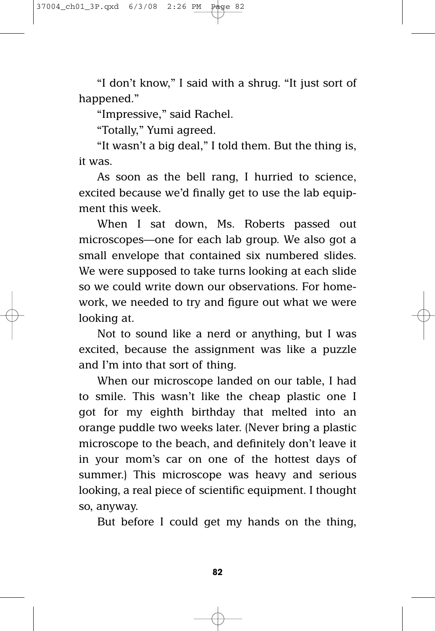"I don't know," I said with a shrug. "It just sort of happened."

"Impressive," said Rachel.

"Totally," Yumi agreed.

"It wasn't a big deal," I told them. But the thing is, it was.

As soon as the bell rang, I hurried to science, excited because we'd finally get to use the lab equipment this week.

When I sat down, Ms. Roberts passed out microscopes—one for each lab group. We also got a small envelope that contained six numbered slides. We were supposed to take turns looking at each slide so we could write down our observations. For homework, we needed to try and figure out what we were looking at.

Not to sound like a nerd or anything, but I was excited, because the assignment was like a puzzle and I'm into that sort of thing.

When our microscope landed on our table, I had to smile. This wasn't like the cheap plastic one I got for my eighth birthday that melted into an orange puddle two weeks later. (Never bring a plastic microscope to the beach, and definitely don't leave it in your mom's car on one of the hottest days of summer.) This microscope was heavy and serious looking, a real piece of scientific equipment. I thought so, anyway.

But before I could get my hands on the thing,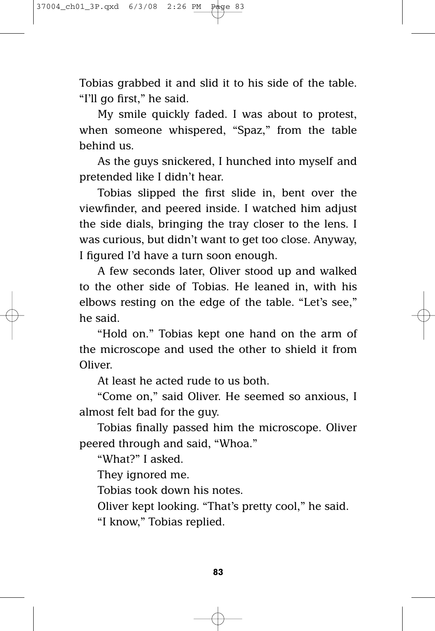Tobias grabbed it and slid it to his side of the table. "I'll go first," he said.

My smile quickly faded. I was about to protest, when someone whispered, "Spaz," from the table behind us.

As the guys snickered, I hunched into myself and pretended like I didn't hear.

Tobias slipped the first slide in, bent over the viewfinder, and peered inside. I watched him adjust the side dials, bringing the tray closer to the lens. I was curious, but didn't want to get too close. Anyway, I figured I'd have a turn soon enough.

A few seconds later, Oliver stood up and walked to the other side of Tobias. He leaned in, with his elbows resting on the edge of the table. "Let's see," he said.

"Hold on." Tobias kept one hand on the arm of the microscope and used the other to shield it from Oliver.

At least he acted rude to us both.

"Come on," said Oliver. He seemed so anxious, I almost felt bad for the guy.

Tobias finally passed him the microscope. Oliver peered through and said, "Whoa."

"What?" I asked.

They ignored me.

Tobias took down his notes.

Oliver kept looking. "That's pretty cool," he said. "I know," Tobias replied.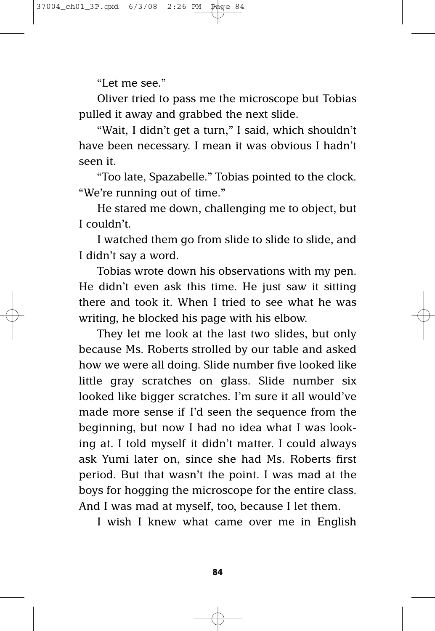"Let me see."

Oliver tried to pass me the microscope but Tobias pulled it away and grabbed the next slide.

"Wait, I didn't get a turn," I said, which shouldn't have been necessary. I mean it was obvious I hadn't seen it.

"Too late, Spazabelle." Tobias pointed to the clock. "We're running out of time."

He stared me down, challenging me to object, but I couldn't.

I watched them go from slide to slide to slide, and I didn't say a word.

Tobias wrote down his observations with my pen. He didn't even ask this time. He just saw it sitting there and took it. When I tried to see what he was writing, he blocked his page with his elbow.

They let me look at the last two slides, but only because Ms. Roberts strolled by our table and asked how we were all doing. Slide number five looked like little gray scratches on glass. Slide number six looked like bigger scratches. I'm sure it all would've made more sense if I'd seen the sequence from the beginning, but now I had no idea what I was looking at. I told myself it didn't matter. I could always ask Yumi later on, since she had Ms. Roberts first period. But that wasn't the point. I was mad at the boys for hogging the microscope for the entire class. And I was mad at myself, too, because I let them.

I wish I knew what came over me in English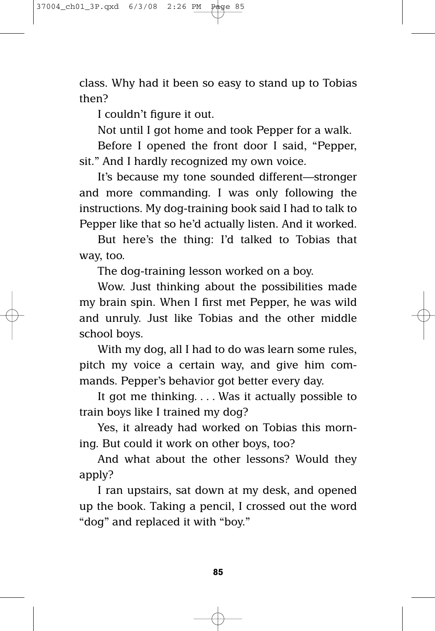class. Why had it been so easy to stand up to Tobias then?

I couldn't figure it out.

Not until I got home and took Pepper for a walk.

Before I opened the front door I said, "Pepper, sit." And I hardly recognized my own voice.

It's because my tone sounded different—stronger and more commanding. I was only following the instructions. My dog-training book said I had to talk to Pepper like that so he'd actually listen. And it worked.

But here's the thing: I'd talked to Tobias that way, too.

The dog-training lesson worked on a boy.

Wow. Just thinking about the possibilities made my brain spin. When I first met Pepper, he was wild and unruly. Just like Tobias and the other middle school boys.

With my dog, all I had to do was learn some rules, pitch my voice a certain way, and give him commands. Pepper's behavior got better every day.

It got me thinking. . . . Was it actually possible to train boys like I trained my dog?

Yes, it already had worked on Tobias this morning. But could it work on other boys, too?

And what about the other lessons? Would they apply?

I ran upstairs, sat down at my desk, and opened up the book. Taking a pencil, I crossed out the word "dog" and replaced it with "boy."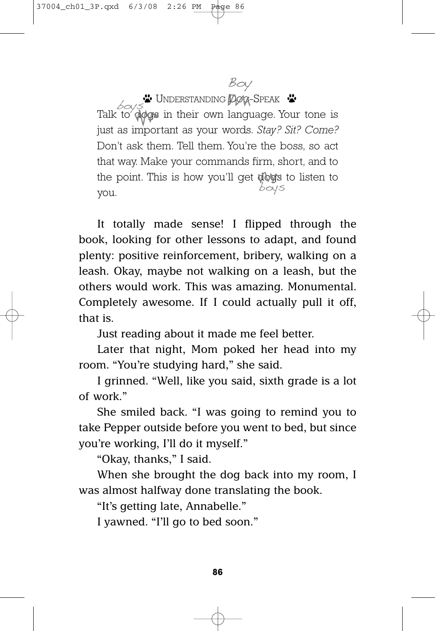$\mathcal{L}_{\text{N}}$  UNDERSTANDING  $\mathbb{Z}$  OQ-SPEAK Talk to  $\phi$  and in their own language. Your tone is just as important as your words. *Stay? Sit? Come?* Don't ask them. Tell them. You're the boss, so act that way. Make your commands firm, short, and to the point. This is how you'll get dogs to listen to you. Boy boys

It totally made sense! I flipped through the book, looking for other lessons to adapt, and found plenty: positive reinforcement, bribery, walking on a leash. Okay, maybe not walking on a leash, but the others would work. This was amazing. Monumental. Completely awesome. If I could actually pull it off, that is.

Just reading about it made me feel better.

Later that night, Mom poked her head into my room. "You're studying hard," she said.

I grinned. "Well, like you said, sixth grade is a lot of work."

She smiled back. "I was going to remind you to take Pepper outside before you went to bed, but since you're working, I'll do it myself."

"Okay, thanks," I said.

When she brought the dog back into my room, I was almost halfway done translating the book.

"It's getting late, Annabelle."

I yawned. "I'll go to bed soon."